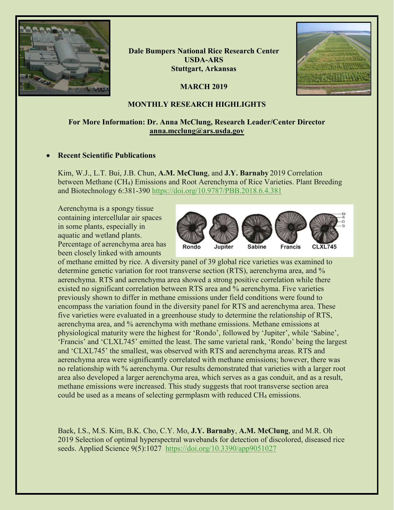

**Dale Bumpers National Rice Research Center USDA-ARS Stuttgart, Arkansas**

**MARCH 2019**



### **MONTHLY RESEARCH HIGHLIGHTS**

### **For More Information: Dr. Anna McClung, Research Leader/Center Director [anna.mcclung@ars.usda.gov](mailto:anna.mcclung@ars.usda.gov)**

### • **Recent Scientific Publications**

Kim, W.J., L.T. Bui, J.B. Chun, **A.M. McClung**, and **J.Y. Barnaby** 2019 Correlation between Methane (CH4) Emissions and Root Aerenchyma of Rice Varieties. Plant Breeding and Biotechnology 6:381-390<https://doi.org/10.9787/PBB.2018.6.4.381>

Aerenchyma is a spongy tissue containing intercellular air spaces in some plants, especially in aquatic and wetland plants. Percentage of aerenchyma area has been closely linked with amounts



of methane emitted by rice. A diversity panel of 39 global rice varieties was examined to determine genetic variation for root transverse section (RTS), aerenchyma area, and % aerenchyma. RTS and aerenchyma area showed a strong positive correlation while there existed no significant correlation between RTS area and % aerenchyma. Five varieties previously shown to differ in methane emissions under field conditions were found to encompass the variation found in the diversity panel for RTS and aerenchyma area. These five varieties were evaluated in a greenhouse study to determine the relationship of RTS, aerenchyma area, and % aerenchyma with methane emissions. Methane emissions at physiological maturity were the highest for 'Rondo', followed by 'Jupiter', while 'Sabine', 'Francis' and 'CLXL745' emitted the least. The same varietal rank, 'Rondo' being the largest and 'CLXL745' the smallest, was observed with RTS and aerenchyma areas. RTS and aerenchyma area were significantly correlated with methane emissions; however, there was no relationship with % aerenchyma. Our results demonstrated that varieties with a larger root area also developed a larger aerenchyma area, which serves as a gas conduit, and as a result, methane emissions were increased. This study suggests that root transverse section area could be used as a means of selecting germplasm with reduced CH<sub>4</sub> emissions.

Baek, I.S., M.S. Kim, B.K. Cho, C.Y. Mo, **J.Y. Barnaby**, **A.M. McClung**, and M.R. Oh 2019 Selection of optimal hyperspectral wavebands for detection of discolored, diseased rice seeds. Applied Science 9(5):1027 <https://doi.org/10.3390/app9051027>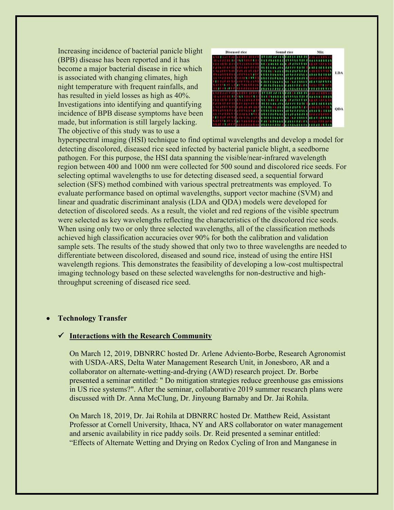Increasing incidence of bacterial panicle blight (BPB) disease has been reported and it has become a major bacterial disease in rice which is associated with changing climates, high night temperature with frequent rainfalls, and has resulted in yield losses as high as 40%. Investigations into identifying and quantifying incidence of BPB disease symptoms have been made, but information is still largely lacking. The objective of this study was to use a



hyperspectral imaging (HSI) technique to find optimal wavelengths and develop a model for detecting discolored, diseased rice seed infected by bacterial panicle blight, a seedborne pathogen. For this purpose, the HSI data spanning the visible/near-infrared wavelength region between 400 and 1000 nm were collected for 500 sound and discolored rice seeds. For selecting optimal wavelengths to use for detecting diseased seed, a sequential forward selection (SFS) method combined with various spectral pretreatments was employed. To evaluate performance based on optimal wavelengths, support vector machine (SVM) and linear and quadratic discriminant analysis (LDA and QDA) models were developed for detection of discolored seeds. As a result, the violet and red regions of the visible spectrum were selected as key wavelengths reflecting the characteristics of the discolored rice seeds. When using only two or only three selected wavelengths, all of the classification methods achieved high classification accuracies over 90% for both the calibration and validation sample sets. The results of the study showed that only two to three wavelengths are needed to differentiate between discolored, diseased and sound rice, instead of using the entire HSI wavelength regions. This demonstrates the feasibility of developing a low-cost multispectral imaging technology based on these selected wavelengths for non-destructive and highthroughput screening of diseased rice seed.

#### • **Technology Transfer**

#### **Interactions with the Research Community**

On March 12, 2019, DBNRRC hosted Dr. Arlene Adviento-Borbe, Research Agronomist with USDA-ARS, Delta Water Management Research Unit, in Jonesboro, AR and a collaborator on alternate-wetting-and-drying (AWD) research project. Dr. Borbe presented a seminar entitled: " Do mitigation strategies reduce greenhouse gas emissions in US rice systems?". After the seminar, collaborative 2019 summer research plans were discussed with Dr. Anna McClung, Dr. Jinyoung Barnaby and Dr. Jai Rohila.

On March 18, 2019, Dr. Jai Rohila at DBNRRC hosted Dr. Matthew Reid, Assistant Professor at Cornell University, Ithaca, NY and ARS collaborator on water management and arsenic availability in rice paddy soils. Dr. Reid presented a seminar entitled: "Effects of Alternate Wetting and Drying on Redox Cycling of Iron and Manganese in